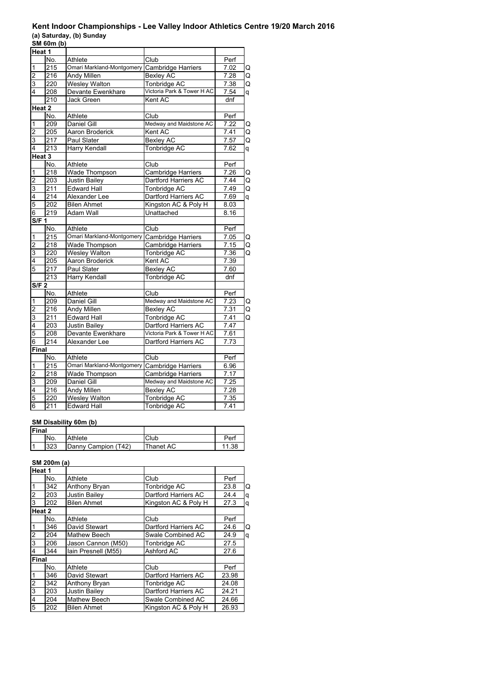#### **Kent Indoor Championships - Lee Valley Indoor Athletics Centre 19/20 March 2016 (a) Saturday, (b) Sunday**

|                  | SM 60m (b)        |                           |                            |      |   |
|------------------|-------------------|---------------------------|----------------------------|------|---|
| Heat 1           |                   |                           |                            |      |   |
|                  | No.               | Athlete                   | Club                       | Perf |   |
| 1                | 215               | Omari Markland-Montgomery | Cambridge Harriers         | 7.02 | Q |
| $\overline{c}$   | 216               | <b>Andy Millen</b>        | Bexley AC                  | 7.28 | Q |
| 3                | 220               | Wesley Walton             | <b>Tonbridge AC</b>        | 7.38 | Q |
| 4                | 208               | Devante Ewenkhare         | Victoria Park & Tower H AC | 7.54 | q |
|                  | 210               | Jack Green                | Kent AC                    | dnf  |   |
|                  | Heat 2            |                           |                            |      |   |
|                  | No.               | Athlete                   | Club                       | Perf |   |
| 1                | 209               | Daniel Gill               | Medway and Maidstone AC    | 7.22 | Q |
| $\overline{c}$   | 205               | Aaron Broderick           | Kent AC                    | 7.41 | Q |
| 3                | 217               | Paul Slater               | <b>Bexley AC</b>           | 7.57 | Q |
| 4                | 213               | Harry Kendall             | <b>Tonbridge AC</b>        | 7.62 | q |
|                  | Heat <sub>3</sub> |                           |                            |      |   |
|                  | No.               | Athlete                   | Club                       | Perf |   |
| 1                | 218               | <b>Wade Thompson</b>      | Cambridge Harriers         | 7.26 | Q |
| $\overline{2}$   | 203               | <b>Justin Bailey</b>      | Dartford Harriers AC       | 7.44 | Q |
| 3                | $\overline{211}$  | <b>Edward Hall</b>        | <b>Tonbridge AC</b>        | 7.49 | Q |
| 4                | 214               | Alexander Lee             | Dartford Harriers AC       | 7.69 | q |
| 5                | 202               | <b>Bilen Ahmet</b>        | Kingston AC & Poly H       | 8.03 |   |
| 6                | 219               | Adam Wall                 | Unattached                 | 8.16 |   |
| S/F <sub>1</sub> |                   |                           |                            |      |   |
|                  | No.               | Athlete                   | Club                       | Perf |   |
| 1                | 215               | Omari Markland-Montgomery | <b>Cambridge Harriers</b>  | 7.05 | Q |
| $\overline{c}$   | 218               | Wade Thompson             | Cambridge Harriers         | 7.15 | Q |
| 3                | 220               | Wesley Walton             | Tonbridge AC               | 7.36 | Q |
| $\overline{4}$   | 205               | Aaron Broderick           | Kent AC                    | 7.39 |   |
| 5                | 217               | <b>Paul Slater</b>        | <b>Bexley AC</b>           | 7.60 |   |
|                  | $\overline{213}$  | Harry Kendall             | Tonbridge AC               | dnf  |   |
| <b>S/F 2</b>     |                   |                           |                            |      |   |
|                  | No.               | Athlete                   | Club                       | Perf |   |
| 1                | 209               | <b>Daniel Gill</b>        | Medway and Maidstone AC    | 7.23 | Q |
| $\overline{c}$   | $\overline{216}$  | Andy Millen               | <b>Bexley AC</b>           | 7.31 | Q |
| 3                | 211               | <b>Edward Hall</b>        | Tonbridge AC               | 7.41 | Q |
| 4                | 203               | <b>Justin Bailey</b>      | Dartford Harriers AC       | 7.47 |   |
| 5                | 208               | Devante Ewenkhare         | Victoria Park & Tower H AC | 7.61 |   |
| 6                | 214               | Alexander Lee             | Dartford Harriers AC       | 7.73 |   |
| Final            |                   |                           |                            |      |   |
|                  | No.               | Athlete                   | Club                       | Perf |   |
| 1                | 215               | Omari Markland-Montgomery | <b>Cambridge Harriers</b>  | 6.96 |   |
| $\overline{2}$   | $\overline{218}$  | Wade Thompson             | Cambridge Harriers         | 7.17 |   |
| 3                | 209               | Daniel Gill               | Medway and Maidstone AC    | 7.25 |   |
| 4                | $\overline{216}$  | Andy Millen               | <b>Bexley AC</b>           | 7.28 |   |
| 5                | 220               | <b>Wesley Walton</b>      | <b>Tonbridge AC</b>        | 7.35 |   |
| $\overline{6}$   | 211               | <b>Edward Hall</b>        | <b>Tonbridge AC</b>        | 7.41 |   |
|                  |                   |                           |                            |      |   |

## **SM Disability 60m (b)**

| <b>Final</b> |     |                     |           |           |  |  |
|--------------|-----|---------------------|-----------|-----------|--|--|
|              | No. | Athlete             | Club      | Perf      |  |  |
|              | 323 | Danny Campion (T42) | Thanet AC | .38<br>11 |  |  |

## **SM 200m (a)**

| Heat 1         |     |                      |                      |       |   |
|----------------|-----|----------------------|----------------------|-------|---|
|                | No. | Athlete              | Club                 | Perf  |   |
|                | 342 | Anthony Bryan        | Tonbridge AC         | 23.8  | Q |
| $\frac{1}{2}$  | 203 | <b>Justin Bailey</b> | Dartford Harriers AC | 24.4  | q |
|                | 202 | <b>Bilen Ahmet</b>   | Kingston AC & Poly H | 27.3  | q |
| Heat 2         |     |                      |                      |       |   |
|                | No. | Athlete              | Club                 | Perf  |   |
| $\overline{1}$ | 346 | David Stewart        | Dartford Harriers AC | 24.6  | Q |
| ا دە           | 204 | <b>Mathew Beech</b>  | Swale Combined AC    | 24.9  | q |
|                | 206 | Jason Cannon (M50)   | Tonbridge AC         | 27.5  |   |
| $\overline{4}$ | 344 | Iain Presnell (M55)  | Ashford AC           | 27.6  |   |
| Final          |     |                      |                      |       |   |
|                | No. | Athlete              | Club                 | Perf  |   |
| $\overline{1}$ | 346 | David Stewart        | Dartford Harriers AC | 23.98 |   |
|                | 342 | Anthony Bryan        | Tonbridge AC         | 24.08 |   |
| $\frac{2}{3}$  | 203 | Justin Bailev        | Dartford Harriers AC | 24.21 |   |
|                | 204 | <b>Mathew Beech</b>  | Swale Combined AC    | 24.66 |   |
| $\overline{5}$ | 202 | <b>Bilen Ahmet</b>   | Kingston AC & Poly H | 26.93 |   |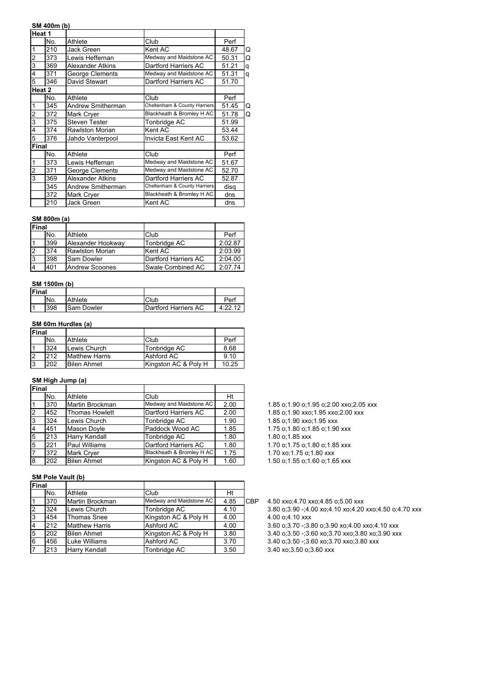#### **SM 400m (b)**

|              | Heat 1 |                      |                              |       |   |
|--------------|--------|----------------------|------------------------------|-------|---|
|              | No.    | Athlete              | Club                         | Perf  |   |
| 1            | 210    | Jack Green           | Kent AC                      | 48.67 | Q |
| 2            | 373    | Lewis Heffernan      | Medway and Maidstone AC      | 50.31 | Q |
| 3            | 369    | Alexander Atkins     | Dartford Harriers AC         | 51.21 | q |
| 4            | 371    | George Clements      | Medway and Maidstone AC      | 51.31 | q |
| 5            | 346    | David Stewart        | Dartford Harriers AC         | 51.70 |   |
|              | Heat 2 |                      |                              |       |   |
|              | No.    | Athlete              | Club                         | Perf  |   |
| 1            | 345    | Andrew Smitherman    | Cheltenham & County Harriers | 51.45 | Q |
| 2            | 372    | Mark Cryer           | Blackheath & Bromley H AC    | 51.78 | Q |
| 3            | 375    | <b>Steven Tester</b> | Tonbridge AC                 | 51.99 |   |
| 4            | 374    | Rawlston Morian      | Kent AC                      | 53.44 |   |
| 5            | 376    | Jahdo Vanterpool     | Invicta East Kent AC         | 53.62 |   |
| <b>Final</b> |        |                      |                              |       |   |
|              | No.    | Athlete              | Club                         | Perf  |   |
| 1            | 373    | Lewis Heffernan      | Medway and Maidstone AC      | 51.67 |   |
| 2            | 371    | George Clements      | Medway and Maidstone AC      | 52.70 |   |
| 3            | 369    | Alexander Atkins     | Dartford Harriers AC         | 52.87 |   |
|              | 345    | Andrew Smitherman    | Cheltenham & County Harriers | disa  |   |
|              | 372    | Mark Cryer           | Blackheath & Bromley H AC    | dns   |   |
|              | 210    | Jack Green           | Kent AC                      | dns   |   |

#### **SM 800m (a)**

| <b>IFinal</b> |     |                        |                      |         |
|---------------|-----|------------------------|----------------------|---------|
|               | No. | Athlete                | Club                 | Perf    |
|               | 399 | Alexander Hookway      | Tonbridge AC         | 2:02.87 |
|               | 374 | <b>Rawlston Morian</b> | Kent AC              | 2:03.99 |
| 13            | 398 | Sam Dowler             | Dartford Harriers AC | 2:04.00 |
| 4             | 401 | Andrew Scoones         | Swale Combined AC    | 2:07.74 |

#### **SM 1500m (b)**

| <b>Final</b> |     |                   |                      |         |
|--------------|-----|-------------------|----------------------|---------|
|              | No. | Athlete           | Club                 | Per     |
|              | 398 | <b>Sam Dowler</b> | Dartford Harriers AC | 4:22.12 |

## **SM 60m Hurdles (a)**

| <b>IFinal</b> |     |                       |                      |       |
|---------------|-----|-----------------------|----------------------|-------|
|               | No. | Athlete               | Club                 | Perf  |
|               | 324 | lLewis Church         | Tonbridge AC         | 8.68  |
|               | 212 | <b>Matthew Harris</b> | Ashford AC           | 9.10  |
|               | 202 | <b>Bilen Ahmet</b>    | Kingston AC & Poly H | 10.25 |

#### **SM High Jump (a)**

| Final          |     |                       |                           |      |
|----------------|-----|-----------------------|---------------------------|------|
|                | No. | Athlete               | Club                      | Ht   |
|                | 370 | Martin Brockman       | Medway and Maidstone AC   | 2.00 |
| $\overline{2}$ | 452 | <b>Thomas Howlett</b> | Dartford Harriers AC      | 2.00 |
| 3              | 324 | Lewis Church          | Tonbridge AC              | 1.90 |
| $\overline{4}$ | 451 | Mason Doyle           | Paddock Wood AC           | 1.85 |
| 5              | 213 | <b>Harry Kendall</b>  | Tonbridge AC              | 1.80 |
| 5              | 221 | <b>Paul Williams</b>  | Dartford Harriers AC      | 1.80 |
| $\overline{7}$ | 372 | <b>Mark Cryer</b>     | Blackheath & Bromley H AC | 1.75 |
| 8              | 202 | <b>Bilen Ahmet</b>    | Kingston AC & Poly H      | 1.60 |

## **SM Pole Vault (b)**

| Final          |     |                       |                         |      |            |
|----------------|-----|-----------------------|-------------------------|------|------------|
|                | No. | Athlete               | Club                    | Ht   |            |
|                | 370 | Martin Brockman       | Medway and Maidstone AC | 4.85 | <b>CBF</b> |
| 2              | 324 | Lewis Church          | Tonbridge AC            | 4.10 |            |
| 3              | 454 | Thomas Snee           | Kingston AC & Poly H    | 4.00 |            |
| $\overline{4}$ | 212 | <b>Matthew Harris</b> | Ashford AC              | 4.00 |            |
| 5              | 202 | <b>Bilen Ahmet</b>    | Kingston AC & Poly H    | 3.80 |            |
| 6              | 456 | Luke Williams         | Ashford AC              | 3.70 |            |
|                | 213 | Harry Kendall         | Tonbridge AC            | 3.50 |            |

 $\int$  1.85 o;1.90 o;1.95 o;2.00 xxo;2.05 xxx  $2$  1.85 o;1.90 xxo;1.95 xxo;2.00 xxx  $3$  324  $-$  1.85 o;1.90 xxo;1.95 xxx  $\int$  1.75 o;1.80 o;1.85 o;1.90 xxx 1.80 o;1.85 xxx 1.70 o;1.75 o;1.80 o;1.85 xxx  $\frac{1}{2}$  1.70 xo;1.75 o;1.80 xxx  $\begin{array}{ccc} \end{array}$  1.50 o;1.55 o;1.60 o;1.65 xxx

> $-$  4.50 xxo;4.70 xxo;4.85 o;5.00 xxx 3.80 o;3.90 -;4.00 xo;4.10 xo;4.20 xxo;4.50 o;4.70 xxx 4.00 o;4.10 xxx 3.60 o;3.70 -;3.80 o;3.90 xo;4.00 xxo;4.10 xxx 3.40 o;3.50 -;3.60 xo;3.70 xxo;3.80 xo;3.90 xxx 3.40 o;3.50 -;3.60 xo;3.70 xxo;3.80 xxx 3.40 xo;3.50 o;3.60 xxx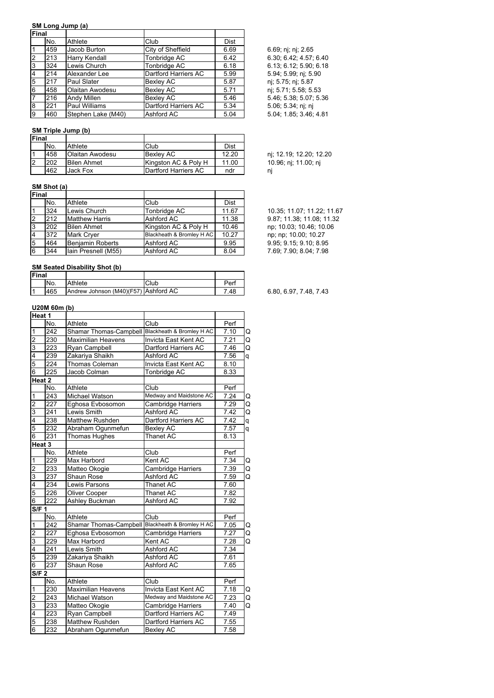#### **SM Long Jump (a)**

| <b>IFinal</b>  |     |                        |                      |             |                      |
|----------------|-----|------------------------|----------------------|-------------|----------------------|
|                | No. | Athlete                | Club                 | <b>Dist</b> |                      |
|                | 459 | Jacob Burton           | City of Sheffield    | 6.69        | 6.69; nj; nj; 2.65   |
| <b>2</b>       | 213 | <b>Harry Kendall</b>   | Tonbridge AC         | 6.42        | 6.30; 6.42; 4.57; 6. |
| l3             | 324 | Lewis Church           | Tonbridge AC         | 6.18        | 6.13; 6.12; 5.90; 6. |
| $\overline{4}$ | 214 | Alexander Lee          | Dartford Harriers AC | 5.99        | 5.94; 5.99; nj; 5.90 |
| 5              | 217 | Paul Slater            | Bexley AC            | 5.87        | nj; 5.75; nj; 5.87   |
| 6              | 458 | <b>Olaitan Awodesu</b> | <b>Bexley AC</b>     | 5.71        | nj; 5.71; 5.58; 5.53 |
|                | 216 | <b>Andy Millen</b>     | <b>Bexley AC</b>     | 5.46        | 5.46; 5.38; 5.07; 5. |
| 8              | 221 | Paul Williams          | Dartford Harriers AC | 5.34        | 5.06; 5.34; nj; nj   |
| 9              | 460 | Stephen Lake (M40)     | Ashford AC           | 5.04        | 5.04; 1.85; 3.46; 4. |

## **SM Triple Jump (b)**

| Final |     |                    |                      |       |                |
|-------|-----|--------------------|----------------------|-------|----------------|
|       | No. | Athlete            | Club                 | Dist  |                |
|       | 458 | lOlaitan Awodesu   | <b>Bexlev AC</b>     | 12.20 | ni             |
|       | 202 | <b>Bilen Ahmet</b> | Kingston AC & Poly H | 11.00 | 1 <sub>1</sub> |
|       | 462 | Jack Fox           | Dartford Harriers AC | ndr   | ni             |

# **SM Shot (a)**

| Final    |     |                         |                           |             |
|----------|-----|-------------------------|---------------------------|-------------|
|          | No. | Athlete                 | Club                      | <b>Dist</b> |
|          | 324 | Lewis Church            | Tonbridge AC              | 11.67       |
| 12       | 212 | <b>Matthew Harris</b>   | Ashford AC                | 11.38       |
| <b>3</b> | 202 | <b>Bilen Ahmet</b>      | Kingston AC & Poly H      | 10.46       |
| 14       | 372 | <b>Mark Crver</b>       | Blackheath & Bromley H AC | 10.27       |
| 5        | 464 | <b>Benjamin Roberts</b> | Ashford AC                | 9.95        |
| 6        | 344 | Iain Presnell (M55)     | Ashford AC                | 8.04        |

## **SM Seated Disability Shot (b)**

| Final |     |                                       |      |      |
|-------|-----|---------------------------------------|------|------|
|       | No. | Athlete                               | Club | Perf |
|       | 465 | IAndrew Johnson (M40)(F57) Ashford AC |      | 7.48 |

## **U20M 60m (b)**

| Heat 1                  |                                                |                               |                                   |      |   |
|-------------------------|------------------------------------------------|-------------------------------|-----------------------------------|------|---|
|                         | No.                                            | Athlete                       | Club                              | Perf |   |
| 1                       | 242                                            | Shamar Thomas-Campbell        | Blackheath & Bromley H AC         | 7.10 | Q |
| $\overline{\mathbf{c}}$ | 230                                            | Maximilian Heavens            | Invicta East Kent AC              | 7.21 | Q |
| 3                       | 223                                            | Ryan Campbell                 | Dartford Harriers AC              | 7.46 | Q |
| 4                       | 239                                            | Zakariya Shaikh<br>Ashford AC |                                   | 7.56 | q |
| 5                       | 224                                            | Thomas Coleman                | Invicta East Kent AC              | 8.10 |   |
| $\overline{6}$          | 225                                            | Jacob Colman                  | <b>Tonbridge AC</b>               | 8.33 |   |
|                         | Heat 2                                         |                               |                                   |      |   |
|                         | No.                                            | Athlete                       | Club                              | Perf |   |
| 1                       | 243                                            | Michael Watson                | Medway and Maidstone AC           | 7.24 | Q |
| 2                       | 227                                            | Eghosa Evbosomon              | <b>Cambridge Harriers</b><br>7.29 |      | Q |
| 3                       | 241<br>Lewis Smith<br>Ashford AC               |                               | 7.42                              | Q    |   |
| 4                       | 238<br>Matthew Rushden<br>Dartford Harriers AC |                               | 7.42                              | q    |   |
| 5                       | 232                                            | Abraham Ogunmefun             | <b>Bexley AC</b>                  | 7.57 | q |
| 6                       | 231                                            | Thomas Hughes                 | Thanet AC                         | 8.13 |   |
| Heat <sub>3</sub>       |                                                |                               |                                   |      |   |
|                         | No.                                            | Athlete                       | Club                              | Perf |   |
| 1                       | 229                                            | Max Harbord                   | Kent AC                           | 7.34 | Q |
| $\overline{2}$          | 233                                            | Matteo Okogie                 | Cambridge Harriers                | 7.39 | Q |
| 3                       | $\overline{237}$                               | Shaun Rose                    | Ashford AC                        | 7.59 | Q |
| $\overline{4}$          | 234                                            | Lewis Parsons                 | <b>Thanet AC</b>                  | 7.60 |   |
| 5                       | 226                                            | Oliver Cooper                 | Thanet AC                         | 7.82 |   |
| $\overline{6}$          | 222                                            | Ashley Buckman                | Ashford AC                        | 7.92 |   |
| <b>S/F 1</b>            |                                                |                               |                                   |      |   |
|                         | No.                                            | Athlete                       | Club                              | Perf |   |
| 1                       | 242                                            | Shamar Thomas-Campbell        | Blackheath & Bromley H AC         | 7.05 | Q |
| $\overline{\mathbf{c}}$ | 227                                            | Eghosa Evbosomon              | Cambridge Harriers                | 7.27 | Q |
| 3                       | 229                                            | Max Harbord                   | Kent AC                           | 7.28 | Q |
| 4                       | 241                                            | Lewis Smith                   | Ashford AC                        | 7.34 |   |
| $\overline{5}$          | 239                                            | Zakariya Shaikh               | Ashford AC                        | 7.61 |   |
| 6                       | 237                                            | Shaun Rose                    | Ashford AC                        | 7.65 |   |
| S/F <sub>2</sub>        |                                                |                               |                                   |      |   |
|                         | No.                                            | Athlete                       | Club                              | Perf |   |
| 1                       | 230                                            | <b>Maximilian Heavens</b>     | Invicta East Kent AC              | 7.18 | Q |
| $\overline{2}$          | 243                                            | Michael Watson                | Medway and Maidstone AC           | 7.23 | Q |
| 3                       | 233                                            | Matteo Okogie                 | <b>Cambridge Harriers</b>         | 7.40 | Q |
| 4                       | 223                                            | Ryan Campbell                 | Dartford Harriers AC              | 7.49 |   |
| 5                       | 238                                            | <b>Matthew Rushden</b>        | Dartford Harriers AC              | 7.55 |   |
| $\overline{6}$          | 232                                            | Abraham Ogunmefun             | <b>Bexley AC</b>                  | 7.58 |   |

6.69; nj; nj; 2.65 6.30; 6.42; 4.57; 6.40 6.13; 6.12; 5.90; 6.18 5.94; 5.99; nj; 5.90  $5.46; 5.38; 5.07; 5.36$  $5.06; 5.34; nj; nj$  $5.04, 1.85, 3.46, 4.81$ 

nj; 12.19; 12.20; 12.20 10.96; nj; 11.00; nj

10.35; 11.07; 11.22; 11.67 2 212 Matthew Harris Ashford AC 11.38 9.87; 11.38; 11.08; 11.32 np; 10.03; 10.46; 10.06 np; np; 10.00; 10.27 9.95; 9.15; 9.10; 8.95 7.69; 7.90; 8.04; 7.98

6.80, 6.97, 7.48, 7.43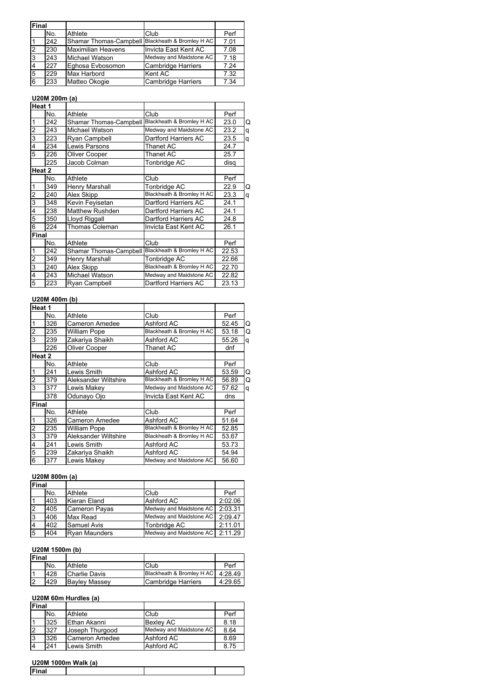| Final          |     |                                                  |                           |      |  |
|----------------|-----|--------------------------------------------------|---------------------------|------|--|
|                | No. | Athlete                                          | Club                      | Perf |  |
|                | 242 | Shamar Thomas-Campbell Blackheath & Bromley H AC |                           | 7.01 |  |
| $\overline{2}$ | 230 | Maximilian Heavens                               | Invicta East Kent AC      | 7.08 |  |
| ι3             | 243 | Michael Watson                                   | Medway and Maidstone AC   | 7.18 |  |
| 4              | 227 | Eghosa Evbosomon                                 | <b>Cambridge Harriers</b> | 7.24 |  |
| 5              | 229 | Max Harbord                                      | Kent AC                   | 7.32 |  |
| 6              | 233 | Matteo Okogie                                    | <b>Cambridge Harriers</b> | 7.34 |  |

# **U20M 200m (a)**

| Heat 1         |        |                               |                           |       |   |
|----------------|--------|-------------------------------|---------------------------|-------|---|
|                | No.    | Athlete                       | Club                      | Perf  |   |
| 1              | 242    | <b>Shamar Thomas-Campbell</b> | Blackheath & Bromley H AC | 23.0  | Q |
| $\overline{c}$ | 243    | Michael Watson                | Medway and Maidstone AC   | 23.2  | q |
| 3              | 223    | Ryan Campbell                 | Dartford Harriers AC      | 23.5  | q |
| 4              | 234    | Lewis Parsons                 | Thanet AC                 | 24.7  |   |
| 5              | 226    | Oliver Cooper                 | Thanet AC                 | 25.7  |   |
|                | 225    | Jacob Colman                  | Tonbridge AC              | disg  |   |
|                | Heat 2 |                               |                           |       |   |
|                | No.    | Athlete                       | Club                      | Perf  |   |
| 1              | 349    | Henry Marshall                | Tonbridge AC              | 22.9  | Q |
| 2              | 240    | Alex Skipp                    | Blackheath & Bromley H AC | 23.3  | q |
| 3              | 348    | Kevin Feyisetan               | Dartford Harriers AC      | 24.1  |   |
| 4              | 238    | <b>Matthew Rushden</b>        | Dartford Harriers AC      | 24.1  |   |
| 5              | 350    | Lloyd Riggall                 | Dartford Harriers AC      | 24.8  |   |
| 6              | 224    | Thomas Coleman                | Invicta East Kent AC      | 26.1  |   |
| <b>Final</b>   |        |                               |                           |       |   |
|                | No.    | Athlete                       | Club                      | Perf  |   |
| 1              | 242    | Shamar Thomas-Campbell        | Blackheath & Bromley H AC | 22.53 |   |
| $\overline{2}$ | 349    | Henry Marshall                | Tonbridge AC              | 22.66 |   |
| 3              | 240    | Alex Skipp                    | Blackheath & Bromley H AC | 22.70 |   |
| 4              | 243    | Michael Watson                | Medway and Maidstone AC   | 22.82 |   |
| 5              | 223    | Ryan Campbell                 | Dartford Harriers AC      | 23.13 |   |

## **U20M 400m (b)**

|                         | Heat 1 |                       |                           |       |   |
|-------------------------|--------|-----------------------|---------------------------|-------|---|
|                         | No.    | Athlete               | Club                      | Perf  |   |
| $\mathbf{1}$            | 326    | <b>Cameron Amedee</b> | Ashford AC                | 52.45 | Q |
| $\overline{2}$          | 235    | William Pope          | Blackheath & Bromley H AC | 53.18 | Q |
| 3                       | 239    | Zakariya Shaikh       | Ashford AC                | 55.26 | q |
|                         | 226    | Oliver Cooper         | Thanet AC                 | dnf   |   |
|                         | Heat 2 |                       |                           |       |   |
|                         | No.    | Athlete               | Club                      | Perf  |   |
| $\mathbf{1}$            | 241    | Lewis Smith           | Ashford AC                | 53.59 | Q |
| $\overline{\mathbf{c}}$ | 379    | Aleksander Wiltshire  | Blackheath & Bromley H AC | 56.89 | Q |
| $\overline{3}$          | 377    | Lewis Makey           | Medway and Maidstone AC   | 57.62 | q |
|                         | 378    | Odunayo Ojo           | Invicta East Kent AC      | dns   |   |
| Final                   |        |                       |                           |       |   |
|                         | No.    | Athlete               | Club                      | Perf  |   |
| $\mathbf{1}$            | 326    | <b>Cameron Amedee</b> | Ashford AC                | 51.64 |   |
| $\frac{2}{3}$           | 235    | William Pope          | Blackheath & Bromley H AC | 52.85 |   |
|                         | 379    | Aleksander Wiltshire  | Blackheath & Bromley H AC | 53.67 |   |
| 4                       | 241    | Lewis Smith           | Ashford AC                | 53.73 |   |
| 5                       | 239    | Zakariya Shaikh       | Ashford AC                | 54.94 |   |
| 6                       | 377    | Lewis Makey           | Medway and Maidstone AC   | 56.60 |   |

# **U20M 800m (a)**

| <b>Final</b>   |     |                      |                         |         |
|----------------|-----|----------------------|-------------------------|---------|
|                | No. | Athlete              | Club                    | Perf    |
|                | 403 | Kieran Eland         | Ashford AC              | 2:02.06 |
| $\overline{2}$ | 405 | <b>Cameron Payas</b> | Medway and Maidstone AC | 2:03.31 |
| Iз             | 406 | Max Read             | Medway and Maidstone AC | 2:09.47 |
| $\overline{4}$ | 402 | <b>Samuel Avis</b>   | Tonbridge AC            | 2:11.01 |
| 5              | 404 | <b>Ryan Maunders</b> | Medway and Maidstone AC | 2:11.29 |

# **U20M 1500m (b)**

| Final |     |                      |                           |         |
|-------|-----|----------------------|---------------------------|---------|
|       | No. | Athlete              | Club                      | Perf    |
|       | 428 | Charlie Davis        | Blackheath & Bromley H AC | 4:28.49 |
|       | 429 | <b>Bayley Massey</b> | Cambridge Harriers        | 4:29.65 |

## **U20M 60m Hurdles (a)**

| <b>Final</b>   |     |                 |                         |      |
|----------------|-----|-----------------|-------------------------|------|
|                | No. | Athlete         | Club                    | Perf |
|                | 325 | Ethan Akanni    | <b>Bexley AC</b>        | 8.18 |
|                | 327 | Joseph Thurgood | Medway and Maidstone AC | 8.64 |
| 3              | 326 | Cameron Amedee  | Ashford AC              | 8.69 |
| $\overline{4}$ | 241 | Lewis Smith     | Ashford AC              | 8.75 |

#### **U20M 1000m Walk (a)**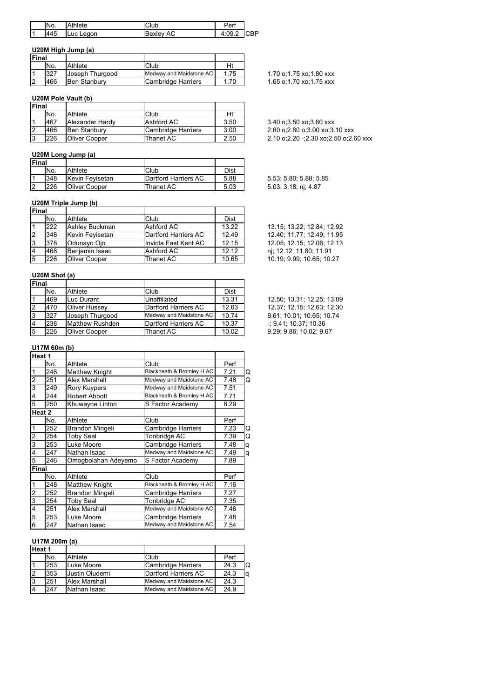|     | No. | Athlete             | Club         | ו די   |    |
|-----|-----|---------------------|--------------|--------|----|
| l 1 | 445 | .eaon<br><b>Luc</b> | AC<br>Bexlev | 4:09.4 | ÐD |

## **U20M High Jump (a)**

| <b>IFinal</b> |     |                     |                         |      |
|---------------|-----|---------------------|-------------------------|------|
|               | No. | Athlete             | Club                    | Ht   |
|               | 327 | Joseph Thurgood     | Medway and Maidstone AC | 1.75 |
|               | 466 | <b>Ben Stanbury</b> | Cambridge Harriers      | 1.70 |

# **U20M Pole Vault (b)**

| <b>IFinal</b> |     |                     |                    |      |                                       |
|---------------|-----|---------------------|--------------------|------|---------------------------------------|
|               | No. | Athlete             | Club               | Ht   |                                       |
|               | 467 | Alexander Hardy     | Ashford AC         | 3.50 | 3.40 o:3.50 xo:3.60 xxx               |
| 12            | 466 | <b>Ben Stanbury</b> | Cambridge Harriers | 3.00 | 2.60 o:2.80 o:3.00 xo:3.10 xxx        |
| l o           | 226 | Oliver Cooper       | Thanet AC          | 2.50 | 2.10 o:2.20 -:2.30 xo:2.50 o:2.60 xxx |

## **U20M Long Jump (a)**

| <b>Final</b> |                      |                      |      |
|--------------|----------------------|----------------------|------|
| No.          | Athlete              | Club                 | Dist |
| 348          | Kevin Fevisetan      | Dartford Harriers AC | 5.88 |
| 226          | <b>Oliver Cooper</b> | Thanet AC            | 5.03 |

## **U20M Triple Jump (b)**

| Final           |     |                 |                      |       |                            |
|-----------------|-----|-----------------|----------------------|-------|----------------------------|
|                 | No. | Athlete         | Club                 | Dist  |                            |
|                 | 222 | Ashley Buckman  | Ashford AC           | 13.22 | 13.15: 13.22: 12.84: 12.92 |
|                 | 348 | Kevin Fevisetan | Dartford Harriers AC | 12.49 | 12.40; 11.77; 12.49; 11.95 |
| 3               | 378 | lOdunavo Oio    | Invicta East Kent AC | 12.15 | 12.05: 12.15: 12.06: 12.13 |
| $\vert 4 \vert$ | 468 | Beniamin Isaac  | Ashford AC           | 12.12 | nj; 12.12; 11.80; 11.91    |
| 15              | 226 | Oliver Cooper   | Thanet AC            | 10.65 | 10.19: 9.99: 10.65: 10.27  |

## **U20M Shot (a)**

| Final |     |                        |                         |             |                            |
|-------|-----|------------------------|-------------------------|-------------|----------------------------|
|       | No. | Athlete                | Club                    | <b>Dist</b> |                            |
|       | 469 | ILuc Durant            | Unaffiliated            | 13.31       | 12.50; 13.31; 12.25; 13.09 |
|       | 470 | <b>Oliver Hussey</b>   | Dartford Harriers AC    | 12.63       | 12.37: 12.15: 12.63: 12.30 |
| 3     | 327 | Joseph Thurgood        | Medway and Maidstone AC | 10.74       | 9.61; 10.01; 10.65; 10.74  |
|       | 238 | <b>Matthew Rushden</b> | Dartford Harriers AC    | 10.37       | $-$ ; 9.41; 10.37; 10.36   |
| 5     | 226 | <b>Oliver Cooper</b>   | Thanet AC               | 10.02       | 9.29: 9.86: 10.02: 9.67    |

#### **U17M 60m (b)**

|              | Heat 1 |                       |                           |      |   |
|--------------|--------|-----------------------|---------------------------|------|---|
|              | No.    | Athlete               | Club                      | Perf |   |
| 1            | 248    | <b>Matthew Knight</b> | Blackheath & Bromley H AC | 7.21 | Q |
| 2            | 251    | Alex Marshall         | Medway and Maidstone AC   | 7.48 | Q |
| 3            | 249    | Rory Kuypers          | Medway and Maidstone AC   | 7.51 |   |
| 4            | 244    | Robert Abbott         | Blackheath & Bromley H AC | 7.71 |   |
| 5            | 250    | Khuwayne Linton       | S Factor Academy          | 8.29 |   |
|              | Heat 2 |                       |                           |      |   |
|              | No.    | Athlete               | Club                      | Perf |   |
|              | 252    | Brandon Mingeli       | Cambridge Harriers        | 7.23 | Q |
| 2            | 254    | <b>Toby Seal</b>      | Tonbridge AC              | 7.39 | Q |
| 3            | 253    | Luke Moore            | Cambridge Harriers        | 7.48 | q |
| 4            | 247    | Nathan Isaac          | Medway and Maidstone AC   | 7.49 | q |
| 5            | 246    | Omogbolahan Adeyemo   | S Factor Academy          | 7.89 |   |
| <b>Final</b> |        |                       |                           |      |   |
|              | No.    | Athlete               | Club                      | Perf |   |
| 1            | 248    | <b>Matthew Knight</b> | Blackheath & Bromley H AC | 7.16 |   |
| 2            | 252    | Brandon Mingeli       | <b>Cambridge Harriers</b> | 7.27 |   |
| 3            | 254    | <b>Toby Seal</b>      | Tonbridge AC              | 7.35 |   |
| 4            | 251    | <b>Alex Marshall</b>  | Medway and Maidstone AC   | 7.46 |   |
| 5            | 253    | Luke Moore            | <b>Cambridge Harriers</b> | 7.48 |   |
| 6            | 247    | Nathan Isaac          | Medway and Maidstone AC   | 7.54 |   |

#### **U17M 200m (a)**

| Heat 1 |     |                |                         |      |   |
|--------|-----|----------------|-------------------------|------|---|
|        | No. | Athlete        | Club                    | Perf |   |
|        | 253 | Luke Moore     | Cambridge Harriers      | 24.3 | O |
|        | 353 | Uustin Oludemi | Dartford Harriers AC    | 24.3 | q |
|        | 251 | Alex Marshall  | Medway and Maidstone AC | 24.3 |   |
|        | 247 | Nathan Isaac   | Medway and Maidstone AC | 24.9 |   |

1.70 o;1.75 xo;1.80 xxx 1.65 o;1.70 xo;1.75 xxx

| 3.40 o:3.50 xo:3.60 xxx               |
|---------------------------------------|
| 2.60 o:2.80 o:3.00 xo:3.10 xxx        |
| 2.10 o;2.20 -;2.30 xo;2.50 o;2.60 xxx |

5.53; 5.80; 5.88; 5.85 5.03; 3.18; nj; 4.87

| 13.15; 13.22; 12.84; 12.92 |
|----------------------------|
| 12.40; 11.77; 12.49; 11.95 |
| 12.05: 12.15: 12.06: 12.13 |
| nj; 12.12; 11.80; 11.91    |
| 10.19; 9.99; 10.65; 10.27  |
|                            |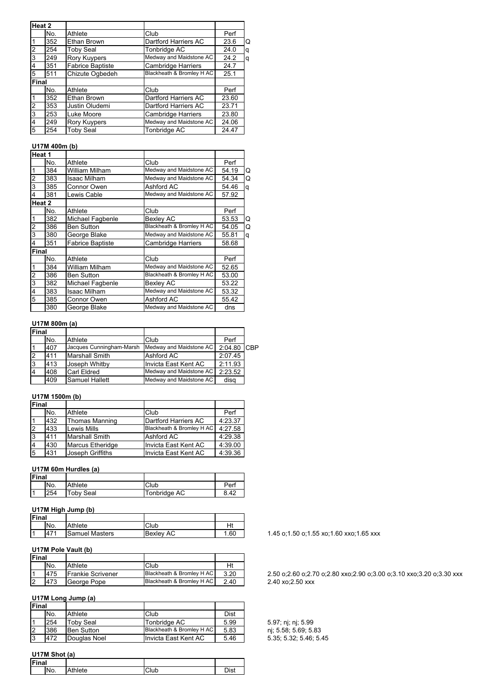|       | Heat 2 |                         |                           |       |   |
|-------|--------|-------------------------|---------------------------|-------|---|
|       | No.    | Athlete                 | Club                      | Perf  |   |
|       | 352    | Ethan Brown             | Dartford Harriers AC      | 23.6  | O |
| 2     | 254    | <b>Toby Seal</b>        | Tonbridge AC              | 24.0  | q |
| 3     | 249    | Rory Kuypers            | Medway and Maidstone AC   | 24.2  | q |
| 4     | 351    | <b>Fabrice Baptiste</b> | <b>Cambridge Harriers</b> | 24.7  |   |
| 5     | 511    | Chizute Ogbedeh         | Blackheath & Bromley H AC | 25.1  |   |
| Final |        |                         |                           |       |   |
|       | No.    | Athlete                 | Club                      | Perf  |   |
|       | 352    | Ethan Brown             | Dartford Harriers AC      | 23.60 |   |
| 2     | 353    | Justin Oludemi          | Dartford Harriers AC      | 23.71 |   |
| 3     | 253    | Luke Moore              | <b>Cambridge Harriers</b> | 23.80 |   |
| 4     | 249    | <b>Rory Kuypers</b>     | Medway and Maidstone AC   | 24.06 |   |
| 5     | 254    | <b>Toby Seal</b>        | Tonbridge AC              | 24.47 |   |

## **U17M 400m (b)**

| Heat 1 |        |                         |                           |       |   |
|--------|--------|-------------------------|---------------------------|-------|---|
|        | No.    | Athlete                 | Club                      | Perf  |   |
| 1      | 384    | William Milham          | Medway and Maidstone AC   | 54.19 | Q |
| 2      | 383    | Isaac Milham            | Medway and Maidstone AC   | 54.34 | Q |
| 3      | 385    | Connor Owen             | Ashford AC                | 54.46 | q |
| 4      | 381    | Lewis Cable             | Medway and Maidstone AC   | 57.92 |   |
|        | Heat 2 |                         |                           |       |   |
|        | No.    | Athlete                 | Club                      | Perf  |   |
| 1      | 382    | Michael Fagbenle        | <b>Bexley AC</b>          | 53.53 | Q |
| 2      | 386    | <b>Ben Sutton</b>       | Blackheath & Bromley H AC | 54.05 | Q |
| 3      | 380    | George Blake            | Medway and Maidstone AC   | 55.81 | q |
| 4      | 351    | <b>Fabrice Baptiste</b> | <b>Cambridge Harriers</b> | 58.68 |   |
| Final  |        |                         |                           |       |   |
|        | No.    | Athlete                 | Club                      | Perf  |   |
| 1      | 384    | William Milham          | Medway and Maidstone AC   | 52.65 |   |
| 2      | 386    | Ben Sutton              | Blackheath & Bromley H AC | 53.00 |   |
| 3      | 382    | Michael Fagbenle        | <b>Bexley AC</b>          | 53.22 |   |
| 4      | 383    | Isaac Milham            | Medway and Maidstone AC   | 53.32 |   |
| 5      | 385    | Connor Owen             | Ashford AC                | 55.42 |   |
|        | 380    | George Blake            | Medway and Maidstone AC   | dns   |   |

# **U17M 800m (a)**

| Final |     |                          |                         |             |  |
|-------|-----|--------------------------|-------------------------|-------------|--|
|       | No. | Athlete                  | Club                    | Perf        |  |
|       | 407 | Jacques Cunningham-Marsh | Medway and Maidstone AC | 2:04.80 CBP |  |
|       | 411 | <b>Marshall Smith</b>    | Ashford AC              | 2:07.45     |  |
| 3     | 413 | Joseph Whitby            | Invicta East Kent AC    | 2:11.93     |  |
|       | 408 | Carl Eldred              | Medway and Maidstone AC | 2:23.52     |  |
|       | 409 | <b>Samuel Hallett</b>    | Medway and Maidstone AC | disg        |  |

# **U17M 1500m (b)**

| <b>Final</b> |     |                       |                           |         |
|--------------|-----|-----------------------|---------------------------|---------|
|              | No. | Athlete               | Club                      | Perf    |
|              | 432 | <b>Thomas Manning</b> | Dartford Harriers AC      | 4:23.37 |
|              | 433 | <b>Lewis Mills</b>    | Blackheath & Bromley H AC | 4:27.58 |
| 13           | 411 | <b>Marshall Smith</b> | Ashford AC                | 4:29.38 |
| 14           | 430 | Marcus Etheridge      | Invicta East Kent AC      | 4:39.00 |
| 5            | 431 | Joseph Griffiths      | Invicta East Kent AC      | 4:39.36 |

## **U17M 60m Hurdles (a)**

| <b>Final</b> |     |                  |              |      |
|--------------|-----|------------------|--------------|------|
|              | No. | Athlete          | Club         | Perf |
|              | 254 | <b>Toby Seal</b> | Tonbridge AC | 8.42 |

#### **U17M High Jump (b)**

| Final |                  |                       |                  |     |
|-------|------------------|-----------------------|------------------|-----|
|       | No.              | Athlete               | Club             |     |
|       | 147 <sup>4</sup> | <b>Samuel Masters</b> | <b>Bexley AC</b> | .60 |

## **U17M Pole Vault (b)**

| Final          |     |                          |                           |      |
|----------------|-----|--------------------------|---------------------------|------|
|                | No. | Athlete                  | Club                      | Ht   |
| ا ا            | 475 | <b>Frankie Scrivener</b> | Blackheath & Bromley H AC | 3.20 |
| $\overline{2}$ | 473 | George Pope              | Blackheath & Bromley H AC | 2.40 |

# **U17M Long Jump (a)**

| Final |     |                  |                           |      |                        |
|-------|-----|------------------|---------------------------|------|------------------------|
|       | No. | Athlete          | Club                      | Dist |                        |
|       | 254 | <b>Toby Seal</b> | Tonbridge AC              | 5.99 | 5.97; nj; nj; 5.99     |
|       | 386 | IBen Sutton      | Blackheath & Bromley H AC | 5.83 | ni: 5.58, 5.69, 5.83   |
| 3     | 472 | Douglas Noel     | Invicta East Kent AC      | 5.46 | 5.35, 5.32, 5.46, 5.45 |

## **U17M Shot (a)**

| <b>Final</b> |     |                 |     |      |
|--------------|-----|-----------------|-----|------|
|              | No. | <b>Multiple</b> | lub | ימור |
|              |     |                 |     |      |

1.45 o;1.50 o;1.55 xo;1.60 xxo;1.65 xxx

2.50 o;2.60 o;2.70 o;2.80 xxo;2.90 o;3.00 o;3.10 xxo;3.20 o;3.30 xxx 2.40 xo;2.50 xxx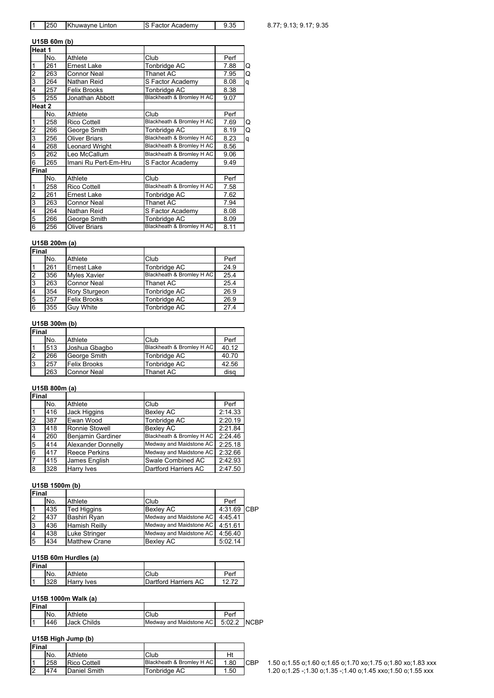|  | 250 | Khuwayne Linton | <b>IS Factor Academy</b> |  |
|--|-----|-----------------|--------------------------|--|
|--|-----|-----------------|--------------------------|--|

# $\overline{1}$  8.77; 9.13; 9.17; 9.35

#### **U15B 60m (b)**

| Heat 1         |        |                       |                           |      |   |
|----------------|--------|-----------------------|---------------------------|------|---|
|                | No.    | Athlete               | Club                      | Perf |   |
| 1              | 261    | Ernest Lake           | Tonbridge AC              | 7.88 | Q |
| $\overline{c}$ | 263    | <b>Connor Neal</b>    | Thanet AC                 | 7.95 | Q |
| 3              | 264    | Nathan Reid           | S Factor Academy          | 8.08 | q |
| 4              | 257    | <b>Felix Brooks</b>   | Tonbridge AC              | 8.38 |   |
| 5              | 255    | Jonathan Abbott       | Blackheath & Bromley H AC | 9.07 |   |
|                | Heat 2 |                       |                           |      |   |
|                | No.    | Athlete               | Club                      | Perf |   |
| 1              | 258    | <b>Rico Cottell</b>   | Blackheath & Bromley H AC | 7.69 | Q |
| 2              | 266    | George Smith          | Tonbridge AC              | 8.19 | Q |
| 3              | 256    | <b>Oliver Briars</b>  | Blackheath & Bromley H AC | 8.23 | q |
| 4              | 268    | <b>Leonard Wright</b> | Blackheath & Bromley H AC | 8.56 |   |
| 5              | 262    | Leo McCallum          | Blackheath & Bromley H AC | 9.06 |   |
| 6              | 265    | Imani Ru Pert-Em-Hru  | S Factor Academy          | 9.49 |   |
| Final          |        |                       |                           |      |   |
|                | No.    | Athlete               | Club                      | Perf |   |
| 1              | 258    | <b>Rico Cottell</b>   | Blackheath & Bromley H AC | 7.58 |   |
| 2              | 261    | Ernest Lake           | Tonbridge AC              | 7.62 |   |
| 3              | 263    | <b>Connor Neal</b>    | <b>Thanet AC</b>          | 7.94 |   |
| 4              | 264    | Nathan Reid           | S Factor Academy          | 8.08 |   |
| 5              | 266    | George Smith          | Tonbridge AC              | 8.09 |   |
| 6              | 256    | <b>Oliver Briars</b>  | Blackheath & Bromley H AC | 8.11 |   |

# **U15B 200m (a)**

| <b>Final</b>   |     |                     |                           |      |
|----------------|-----|---------------------|---------------------------|------|
|                | No. | Athlete             | Club                      | Perf |
|                | 261 | <b>Ernest Lake</b>  | Tonbridge AC              | 24.9 |
| 2              | 356 | <b>Myles Xavier</b> | Blackheath & Bromley H AC | 25.4 |
| 3              | 263 | <b>Connor Neal</b>  | Thanet AC                 | 25.4 |
| $\overline{4}$ | 354 | Rory Sturgeon       | Tonbridge AC              | 26.9 |
| 5              | 257 | <b>Felix Brooks</b> | Tonbridge AC              | 26.9 |
| 6              | 355 | <b>Guy White</b>    | Tonbridge AC              | 27.4 |

# **U15B 300m (b)**

| <b>Final</b> |     |                     |                           |       |
|--------------|-----|---------------------|---------------------------|-------|
|              | No. | Athlete             | Club                      | Perf  |
|              | 513 | Joshua Gbagbo       | Blackheath & Bromley H AC | 40.12 |
| 12           | 266 | George Smith        | Tonbridge AC              | 40.70 |
| l3           | 257 | <b>Felix Brooks</b> | Tonbridge AC              | 42.56 |
|              | 263 | <b>Connor Neal</b>  | Thanet AC                 | disa  |

## **U15B 800m (a)**

| Final          |     |                      |                           |         |
|----------------|-----|----------------------|---------------------------|---------|
|                | No. | Athlete              | Club                      | Perf    |
|                | 416 | <b>Jack Higgins</b>  | <b>Bexley AC</b>          | 2:14.33 |
| $\overline{2}$ | 387 | Ewan Wood            | <b>Tonbridge AC</b>       | 2:20.19 |
| 3              | 418 | Ronnie Stowell       | <b>Bexley AC</b>          | 2:21.84 |
| $\overline{4}$ | 260 | Benjamin Gardiner    | Blackheath & Bromley H AC | 2:24.46 |
| 5              | 414 | Alexander Donnelly   | Medway and Maidstone AC   | 2:25.18 |
| 6              | 417 | <b>Reece Perkins</b> | Medway and Maidstone AC   | 2:32.66 |
| 17             | 415 | James English        | Swale Combined AC         | 2:42.93 |
| 8              | 328 | Harry Ives           | Dartford Harriers AC      | 2:47.50 |

# **U15B 1500m (b)**

| Final |     |                      |                         |             |  |
|-------|-----|----------------------|-------------------------|-------------|--|
|       | No. | Athlete              | Club                    | Perf        |  |
|       | 435 | <b>Ted Higgins</b>   | <b>Bexley AC</b>        | 4:31.69 CBP |  |
| 12    | 437 | Bashiri Ryan         | Medway and Maidstone AC | 4:45.41     |  |
| 13    | 436 | <b>Hamish Reilly</b> | Medway and Maidstone AC | 4:51.61     |  |
|       | 438 | Luke Stringer        | Medway and Maidstone AC | 4:56.40     |  |
| 5     | 434 | <b>Matthew Crane</b> | <b>Bexley AC</b>        | 5:02.14     |  |

#### **U15B 60m Hurdles (a)**

| <b>Final</b> |     |            |                      |     |
|--------------|-----|------------|----------------------|-----|
|              | No. | Athlete    | Club                 | Per |
|              | 328 | Harry Ives | Dartford Harriers AC |     |

#### **U15B 1000m Walk (a)**

| Final |     |                    |                                       |      |  |
|-------|-----|--------------------|---------------------------------------|------|--|
|       | No. | Athlete            | Club                                  | Perf |  |
|       | 446 | <b>Jack Childs</b> | Medway and Maidstone AC   5:02.2 NCBP |      |  |

## **U15B High Jump (b)**

| <b>Final</b> |     |              |                           |      |            |
|--------------|-----|--------------|---------------------------|------|------------|
|              | No. | Athlete      | Club                      | Ht   |            |
|              | 258 | Rico Cottell | Blackheath & Bromley H AC | 1.80 | <b>CBP</b> |
|              | 474 | Daniel Smith | Tonbridge AC              | 1.50 |            |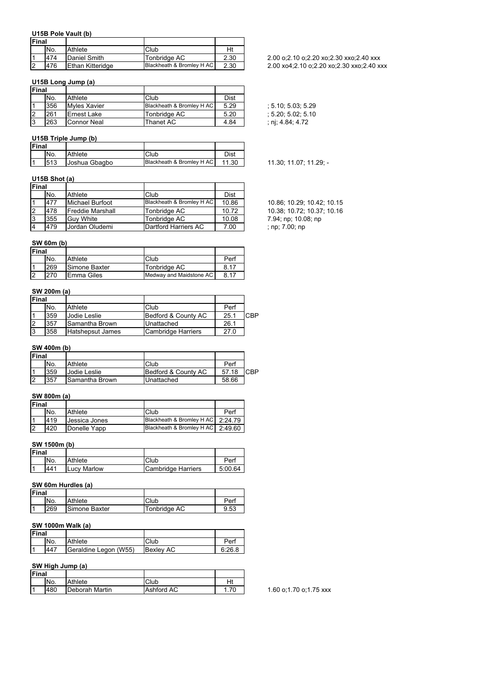# **U15B Pole Vault (b)**

| <b>IFinal</b> |     |                  |                           |      |
|---------------|-----|------------------|---------------------------|------|
|               | No. | Athlete          | Club                      | Ht   |
|               | 474 | Daniel Smith     | Tonbridge AC              | 2.30 |
|               | 476 | Ethan Kitteridge | Blackheath & Bromley H AC | 2.30 |

## **U15B Long Jump (a)**

| <b>IFinal</b> |     |                     |                           |      |
|---------------|-----|---------------------|---------------------------|------|
|               | No. | Athlete             | Club                      | Dist |
|               | 356 | <b>Myles Xavier</b> | Blackheath & Bromley H AC | 5.29 |
|               | 261 | Ernest Lake         | Tonbridge AC              | 5.20 |
|               | 263 | Connor Neal         | Thanet AC                 | 4.84 |

## **U15B Triple Jump (b)**

| <b>Final</b> |     |               |                           |       |
|--------------|-----|---------------|---------------------------|-------|
|              | No. | Athlete       | Club                      | Dist  |
|              | 513 | Joshua Gbagbo | Blackheath & Bromley H AC | 11.30 |

#### **U15B Shot (a)**

| <b>Final</b> |     |                         |                           |       |                        |
|--------------|-----|-------------------------|---------------------------|-------|------------------------|
|              | No. | Athlete                 | Club                      | Dist  |                        |
|              | 477 | Michael Burfoot         | Blackheath & Bromley H AC | 10.86 | 10.86: 10.29: 10.42    |
| 12           | 478 | <b>Freddie Marshall</b> | Tonbridge AC              | 10.72 | 10.38; 10.72; 10.3     |
| 13           | 355 | <b>Guv White</b>        | Tonbridae AC              | 10.08 | 7.94; np; 10.08; np    |
| 14           | 479 | Jordan Oludemi          | Dartford Harriers AC      | 7.00  | ; $np$ ; $7.00$ ; $np$ |

# **SW 60m (b)**

| <b>IFinal</b> |     |               |                         |      |
|---------------|-----|---------------|-------------------------|------|
|               | No. | Athlete       | Club                    | Perf |
|               | 269 | Simone Baxter | Tonbridge AC            | 8.17 |
|               | 270 | Emma Giles    | Medway and Maidstone AC | 8.17 |

## **SW 200m (a)**

| Final |     |                  |                     |      |     |
|-------|-----|------------------|---------------------|------|-----|
|       | No. | Athlete          | Club                | Perf |     |
|       | 359 | Jodie Leslie     | Bedford & County AC | 25.1 | CBP |
|       | 357 | Samantha Brown   | Unattached          | 26.1 |     |
|       | 358 | Hatshepsut James | Cambridge Harriers  | 27.0 |     |

#### **SW 400m (b)**

| <b>IFinal</b> |     |                     |                     |       |     |
|---------------|-----|---------------------|---------------------|-------|-----|
|               | No. | Athlete             | Club                | Perf  |     |
|               | 359 | <b>Jodie Leslie</b> | Bedford & County AC | 57.18 | CBP |
|               | 357 | Samantha Brown      | Unattached          | 58.66 |     |

#### **SW 800m (a)**

| <b>IFinal</b> |     |               |                                     |      |
|---------------|-----|---------------|-------------------------------------|------|
|               | No. | Athlete       | Club                                | Perf |
|               | 419 | Uessica Jones | Blackheath & Bromley H AC   2:24.79 |      |
| 12            | 420 | Donelle Yapp  | Blackheath & Bromley H AC   2:49.60 |      |

## **SW 1500m (b)**

| Final |     |                    |                    |         |
|-------|-----|--------------------|--------------------|---------|
|       | No. | Athlete            | Club               | Perf    |
|       | 441 | <b>Lucy Marlow</b> | Cambridge Harriers | 5:00.64 |
|       |     |                    |                    |         |

# **SW 60m Hurdles (a)**

| <b>Final</b> |     |               |              |      |
|--------------|-----|---------------|--------------|------|
|              | No. | Athlete       | Club         | Per  |
|              | 269 | Simone Baxter | Tonbridge AC | 9.53 |

#### **SW 1000m Walk (a)**

| <b>Final</b> |     |                       |                  |        |
|--------------|-----|-----------------------|------------------|--------|
|              | No. | Athlete               | Club             | Perf   |
|              | 447 | Geraldine Legon (W55) | <b>Bexley AC</b> | 6:26.8 |

## **SW High Jump (a)**

| Final |     |                |            |     |
|-------|-----|----------------|------------|-----|
|       | No. | Athlete        | Club       |     |
| 11    | 480 | Deborah Martin | Ashford AC | .70 |

1.60 o;1.70 o;1.75 xxx

#### 2.00 o;2.10 o;2.20 xo;2.30 xxo;2.40 xxx 2.00 xo4;2.10 o;2.20 xo;2.30 xxo;2.40 xxx

 $; 5.10; 5.03; 5.29$  $; 5.20; 5.02; 5.10$ 

 $; nj; 4.84; 4.72$ 

11.30; 11.07; 11.29; -

10.86; 10.29; 10.42; 10.15 10.38; 10.72; 10.37; 10.16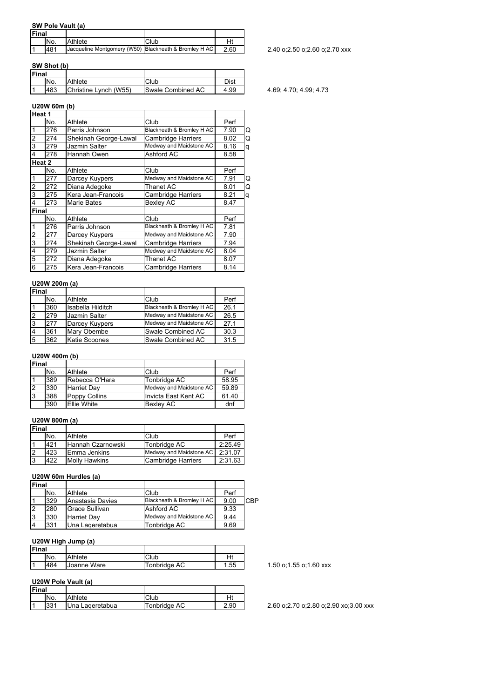# **SW Pole Vault (a)**

| <b>Final</b> |                 |                                                       |      |      |
|--------------|-----------------|-------------------------------------------------------|------|------|
|              | IN <sub>o</sub> | Athlete                                               | Club | Hi   |
|              | 481             | Jacqueline Montgomery (W50) Blackheath & Bromley H AC |      | 2.60 |

#### **SW Shot (b)**

|              | <b>SW SNOT (D)</b> |                       |                   |      |
|--------------|--------------------|-----------------------|-------------------|------|
| <b>Final</b> |                    |                       |                   |      |
|              | No.                | Athlete               | Club              | Dist |
|              | 483                | Christine Lynch (W55) | Swale Combined AC | 4.99 |

# **U20W 60m (b)**

|                | Heat 1 |                       |                           |      |   |
|----------------|--------|-----------------------|---------------------------|------|---|
|                | No.    | Athlete               | Club                      | Perf |   |
|                | 276    | Parris Johnson        | Blackheath & Bromley H AC | 7.90 | Q |
| $\overline{2}$ | 274    | Shekinah George-Lawal | <b>Cambridge Harriers</b> | 8.02 | Q |
| 3              | 279    | Jazmin Salter         | Medway and Maidstone AC   | 8.16 | q |
| 4              | 278    | Hannah Owen           | Ashford AC                | 8.58 |   |
|                | Heat 2 |                       |                           |      |   |
|                | No.    | Athlete               | Club                      | Perf |   |
|                | 277    | Darcey Kuypers        | Medway and Maidstone AC   | 7.91 | Q |
| 2              | 272    | Diana Adegoke         | <b>Thanet AC</b>          | 8.01 | Q |
| 3              | 275    | Kera Jean-Francois    | <b>Cambridge Harriers</b> | 8.21 | q |
| 4              | 273    | <b>Marie Bates</b>    | <b>Bexley AC</b>          | 8.47 |   |
| Final          |        |                       |                           |      |   |
|                | No.    | Athlete               | Club                      | Perf |   |
|                | 276    | Parris Johnson        | Blackheath & Bromley H AC | 7.81 |   |
| 2              | 277    | Darcey Kuypers        | Medway and Maidstone AC   | 7.90 |   |
| 3              | 274    | Shekinah George-Lawal | <b>Cambridge Harriers</b> | 7.94 |   |
| 4              | 279    | Jazmin Salter         | Medway and Maidstone AC   | 8.04 |   |
| 5              | 272    | Diana Adegoke         | Thanet AC                 | 8.07 |   |
| 6              | 275    | Kera Jean-Francois    | <b>Cambridge Harriers</b> | 8.14 |   |

#### **U20W 200m (a)**

| Final |     |                   |                           |      |
|-------|-----|-------------------|---------------------------|------|
|       | No. | Athlete           | Club                      | Perf |
|       | 360 | Isabella Hilditch | Blackheath & Bromley H AC | 26.1 |
|       | 279 | Jazmin Salter     | Medway and Maidstone AC   | 26.5 |
| 13    | 277 | Darcey Kuypers    | Medway and Maidstone AC   | 27.1 |
|       | 361 | Mary Obembe       | Swale Combined AC         | 30.3 |
| 15    | 362 | Katie Scoones     | Swale Combined AC         | 31.5 |

#### **U20W 400m (b)**

| Final |     |                    |                         |       |
|-------|-----|--------------------|-------------------------|-------|
|       | No. | Athlete            | Club                    | Perf  |
|       | 389 | Rebecca O'Hara     | Tonbridge AC            | 58.95 |
|       | 330 | <b>Harriet Day</b> | Medway and Maidstone AC | 59.89 |
| 3     | 388 | Poppy Collins      | Invicta East Kent AC    | 61.40 |
|       | 390 | Ellie White        | <b>Bexley AC</b>        | dnf   |

#### **U20W 800m (a)**

| <b>IFinal</b> |     |                      |                         |         |
|---------------|-----|----------------------|-------------------------|---------|
|               | No. | Athlete              | Club                    | Perf    |
|               | 421 | Hannah Czarnowski    | Tonbridge AC            | 2:25.49 |
|               | 423 | IEmma Jenkins        | Medway and Maidstone AC | 2:31.07 |
| Ι3            | 422 | <b>Molly Hawkins</b> | Cambridge Harriers      | 2:31.63 |

#### **U20W 60m Hurdles (a)**

| <b>Final</b> |     |                    |                           |      |     |
|--------------|-----|--------------------|---------------------------|------|-----|
|              | No. | Athlete            | Club                      | Perf |     |
|              | 329 | Anastasia Davies   | Blackheath & Bromley H AC | 9.00 | CBP |
|              | 280 | Grace Sullivan     | Ashford AC                | 9.33 |     |
|              | 330 | <b>Harriet Dav</b> | Medway and Maidstone AC   | 9.44 |     |
|              | 331 | IUna Lageretabua   | Tonbridge AC              | 9.69 |     |

#### **U20W High Jump (a)**

| <b>Final</b> |     |             |              |     |
|--------------|-----|-------------|--------------|-----|
|              | No. | Athlete     | Club         | Ht  |
|              | 484 | Joanne Ware | Tonbridge AC | .55 |

## **U20W Pole Vault (a)**

| <b>Final</b> |     |                 |              |      |
|--------------|-----|-----------------|--------------|------|
|              | No. | Athlete         | Club         |      |
|              | 331 | Una Lageretabua | Tonbridge AC | 2.90 |

 $\frac{1}{2}$  2.40 o;2.50 o;2.60 o;2.70 xxx

# 4.69; 4.70; 4.99; 4.73

1.50 o;1.55 o;1.60 xxx

2.60 o;2.70 o;2.80 o;2.90 xo;3.00 xxx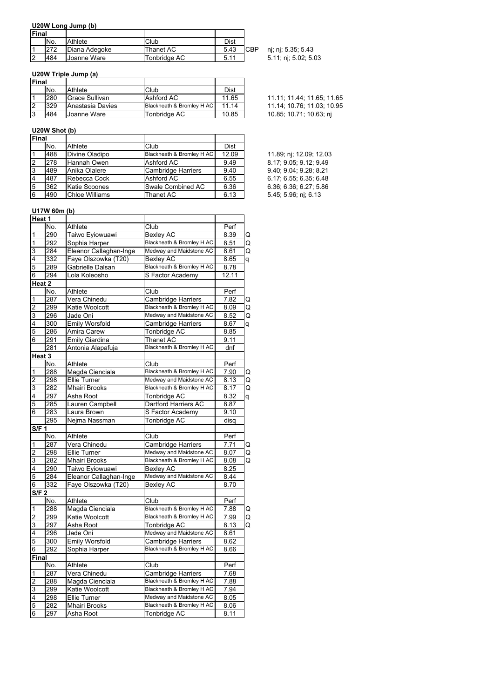## **U20W Long Jump (b)**

| <b>Final</b> |     |               |              |      |             |
|--------------|-----|---------------|--------------|------|-------------|
|              | No. | Athlete       | Club         | Dist |             |
|              | 272 | Diana Adegoke | Thanet AC    | 5.43 | <b>ICBP</b> |
|              | 484 | Joanne Ware   | Tonbridge AC | 5.11 |             |

nj; nj; 5.35; 5.43 5.11; nj; 5.02; 5.03

# **U20W Triple Jump (a)**

| <b>Final</b> |     |                  |                           |       |
|--------------|-----|------------------|---------------------------|-------|
|              | No. | Athlete          | Club                      | Dist  |
|              | 280 | Grace Sullivan   | Ashford AC                | 11.65 |
|              | 329 | Anastasia Davies | Blackheath & Bromley H AC | 11 14 |
| 13           | 484 | Joanne Ware      | Tonbridge AC              | 10.85 |

## **U20W Shot (b)**

| <b>Final</b> |     |                       |                           |       |
|--------------|-----|-----------------------|---------------------------|-------|
|              | No. | Athlete               | Club                      | Dist  |
|              | 488 | Divine Oladipo        | Blackheath & Bromley H AC | 12.09 |
| 2            | 278 | Hannah Owen           | Ashford AC                | 9.49  |
| 3            | 489 | Anika Olalere         | <b>Cambridge Harriers</b> | 9.40  |
|              | 487 | Rebecca Cock          | Ashford AC                | 6.55  |
| 5            | 362 | <b>Katie Scoones</b>  | Swale Combined AC         | 6.36  |
| 6            | 490 | <b>Chloe Williams</b> | Thanet AC                 | 6.13  |

# **U17W 60m (b)**

| Heat 1                  |        |                        |                           |                   |   |
|-------------------------|--------|------------------------|---------------------------|-------------------|---|
|                         | No.    | Athlete                | Club                      | Perf              |   |
| 1                       | 290    | Taiwo Eyiowuawi        | <b>Bexley AC</b>          | 8.39              | Q |
| 1                       | 292    | Sophia Harper          | Blackheath & Bromley H AC | 8.51              | Q |
| $\overline{3}$          | 284    | Eleanor Callaghan-Inge | Medway and Maidstone AC   | 8.61              | Q |
| $\overline{4}$          | 332    | Faye Olszowka (T20)    | <b>Bexley AC</b>          | 8.65              | q |
| 5                       | 289    | Gabrielle Dalsan       | Blackheath & Bromley H AC | 8.78              |   |
| 6                       | 294    | Lola Koleosho          | S Factor Academy          | 12.11             |   |
|                         | Heat 2 |                        |                           |                   |   |
|                         | No.    | Athlete                | Club                      | Perf              |   |
| 1                       | 287    | Vera Chinedu           | <b>Cambridge Harriers</b> | 7.82              | Q |
| $\overline{a}$          | 299    | Katie Woolcott         | Blackheath & Bromley H AC | 8.09              | Q |
| $\overline{3}$          | 296    | Jade Oni               | Medway and Maidstone AC   | 8.52              | Q |
| $\overline{\mathbf{4}}$ | 300    | <b>Emily Worsfold</b>  | Cambridge Harriers        | 8.67              | q |
| 5                       | 286    | Amira Carew            | Tonbridge AC              | 8.85              |   |
| 6                       | 291    | <b>Emily Giardina</b>  | Thanet AC                 | 9.11              |   |
|                         | 281    | Antonia Alapafuja      | Blackheath & Bromley H AC | dnf               |   |
| Heat 3                  |        |                        |                           |                   |   |
|                         | No.    | Athlete                | Club                      | Perf              |   |
| 1                       | 288    | Magda Cienciala        | Blackheath & Bromley H AC | 7.90              | Q |
| 2                       | 298    | <b>Ellie Turner</b>    | Medway and Maidstone AC   | 8.13              | Q |
| 3                       | 282    | <b>Mhairi Brooks</b>   | Blackheath & Bromley H AC | 8.17              | Q |
| 4                       | 297    | Asha Root              | <b>Tonbridge AC</b>       | 8.32              | q |
| 5                       | 285    | Lauren Campbell        | Dartford Harriers AC      | 8.87              |   |
| 6                       | 283    | Laura Brown            | S Factor Academy          | 9.10              |   |
|                         | 295    | Nejma Nassman          | Tonbridge AC              | disq              |   |
| S/F 1                   |        |                        |                           |                   |   |
|                         | No.    | Athlete                | Club                      | Perf              |   |
| 1                       | 287    | Vera Chinedu           | Cambridge Harriers        | 7.71              | Q |
| $\overline{2}$          | 298    | <b>Ellie Turner</b>    | Medway and Maidstone AC   | 8.07              | Q |
| $\overline{3}$          | 282    | <b>Mhairi Brooks</b>   | Blackheath & Bromley H AC | 8.08              | Q |
| 4                       | 290    | Taiwo Eyiowuawi        | <b>Bexley AC</b>          | 8.25              |   |
| 5                       | 284    | Eleanor Callaghan-Inge | Medway and Maidstone AC   | $8.\overline{44}$ |   |
| 6                       | 332    | Faye Olszowka (T20)    | <b>Bexley AC</b>          | 8.70              |   |
| <b>S/F 2</b>            |        |                        |                           |                   |   |
|                         | No.    | Athlete                | Club                      | Perf              |   |
| 1                       | 288    | Magda Cienciala        | Blackheath & Bromley H AC | 7.88              | Q |
| $\overline{c}$          | 299    | Katie Woolcott         | Blackheath & Bromley H AC | 7.99              | Q |
| $\overline{3}$          | 297    | Asha Root              | Tonbridge AC              | 8.13              | Q |
| 4                       | 296    | Jade Oni               | Medway and Maidstone AC   | 8.61              |   |
| 5                       | 300    | <b>Emily Worsfold</b>  | Cambridge Harriers        | 8.62              |   |
| 6                       | 292    | Sophia Harper          | Blackheath & Bromley H AC | 8.66              |   |
| Final                   |        |                        |                           |                   |   |
|                         | No.    | Athlete                | Club                      | Perf              |   |
| 1                       | 287    | Vera Chinedu           | Cambridge Harriers        | 7.68              |   |
| $\overline{c}$          | 288    | Magda Cienciala        | Blackheath & Bromley H AC | 7.88              |   |
| 3                       | 299    | Katie Woolcott         | Blackheath & Bromley H AC | 7.94              |   |
| 4                       | 298    | <b>Ellie Turner</b>    | Medway and Maidstone AC   | 8.05              |   |
| 5                       | 282    | <b>Mhairi Brooks</b>   | Blackheath & Bromley H AC | 8.06              |   |
| $\overline{6}$          | 297    | Asha Root              | Tonbridge AC              | 8.11              |   |

11.11; 11.44; 11.65; 11.65 2 329 Analys Blackheath & Bronch Ac 11.14; 10.76; 11.03; 10.95 10.85; 10.71; 10.63; nj

11.89; nj; 12.09; 12.03 8.17; 9.05; 9.12; 9.49 9.40, 9.04, 9.28; 8.21 6.17; 6.55; 6.35; 6.48  $6.36, 6.36, 6.27, 5.86$ 5.45; 5.96; nj; 6.13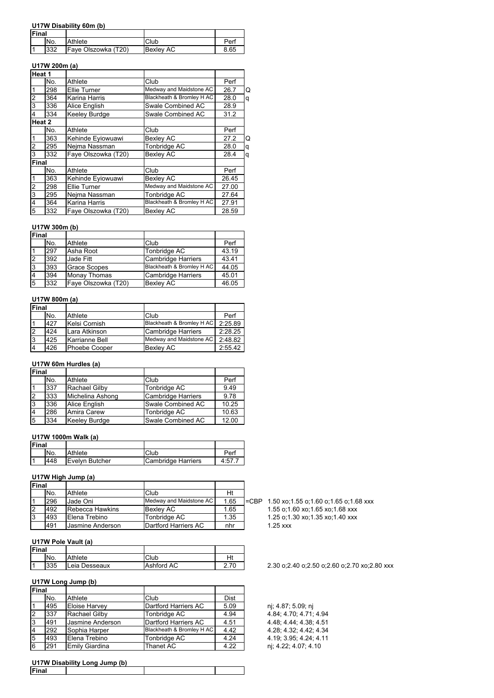#### **U17W Disability 60m (b)**

| Final |     |                     |                  |      |
|-------|-----|---------------------|------------------|------|
|       | No. | Athlete             | Club             | Perl |
|       | 332 | Faye Olszowka (T20) | <b>Bexley AC</b> | 8.65 |

## **U17W 200m (a)**

| Heat 1                  |     |                     |                           |       |   |
|-------------------------|-----|---------------------|---------------------------|-------|---|
|                         | No. | Athlete             | Club                      | Perf  |   |
| $\overline{1}$          | 298 | Ellie Turner        | Medway and Maidstone AC   | 26.7  | Q |
| $\overline{2}$          | 364 | Karina Harris       | Blackheath & Bromley H AC | 28.0  | q |
| 3                       | 336 | Alice English       | Swale Combined AC         | 28.9  |   |
| $\overline{\mathbf{4}}$ | 334 | Keeley Burdge       | Swale Combined AC         | 31.2  |   |
| Heat 2                  |     |                     |                           |       |   |
|                         | No. | Athlete             | Club                      | Perf  |   |
| $\mathbf{1}$            | 363 | Kehinde Eviowuawi   | <b>Bexley AC</b>          | 27.2  | Q |
| $\overline{\mathbf{c}}$ | 295 | Nejma Nassman       | Tonbridge AC              | 28.0  | q |
| 3                       | 332 | Fave Olszowka (T20) | <b>Bexley AC</b>          | 28.4  | q |
| <b>Final</b>            |     |                     |                           |       |   |
|                         | No. | Athlete             | Club                      | Perf  |   |
| $\overline{1}$          | 363 | Kehinde Eyiowuawi   | Bexley AC                 | 26.45 |   |
| $\overline{2}$          | 298 | Ellie Turner        | Medway and Maidstone AC   | 27.00 |   |
| 3                       | 295 | Nejma Nassman       | Tonbridge AC              | 27.64 |   |
| $\overline{4}$          | 364 | Karina Harris       | Blackheath & Bromley H AC | 27.91 |   |
| $\overline{5}$          | 332 | Faye Olszowka (T20) | <b>Bexley AC</b>          | 28.59 |   |
|                         |     |                     |                           |       |   |

## **U17W 300m (b)**

| U17W 300M (D) |     |                     |                           |       |  |
|---------------|-----|---------------------|---------------------------|-------|--|
| Final         |     |                     |                           |       |  |
|               | No. | Athlete             | Club                      | Perf  |  |
|               | 297 | Asha Root           | Tonbridge AC              | 43.19 |  |
| 2             | 392 | Jade Fitt           | <b>Cambridge Harriers</b> | 43.41 |  |
| Ι3            | 393 | <b>Grace Scopes</b> | Blackheath & Bromley H AC | 44.05 |  |
| 4             | 394 | <b>Monav Thomas</b> | <b>Cambridge Harriers</b> | 45.01 |  |
| 5             | 332 | Faye Olszowka (T20) | <b>Bexley AC</b>          | 46.05 |  |

#### **U17W 800m (a)**

| Final |     |                |                           |         |
|-------|-----|----------------|---------------------------|---------|
|       | No. | Athlete        | Club                      | Perf    |
|       | 427 | Kelsi Cornish  | Blackheath & Bromley H AC | 2:25.89 |
|       | 424 | Lara Atkinson  | Cambridge Harriers        | 2:28.25 |
| 3     | 425 | Karrianne Bell | Medway and Maidstone AC   | 2:48.82 |
|       | 426 | Phoebe Cooper  | <b>Bexlev AC</b>          | 2:55.42 |

# **U17W 60m Hurdles (a)**

| Final |     |                      |                    |       |
|-------|-----|----------------------|--------------------|-------|
|       | No. | Athlete              | Club               | Perf  |
|       | 337 | Rachael Gilby        | Tonbridge AC       | 9.49  |
|       | 333 | Michelina Ashong     | Cambridge Harriers | 9.78  |
| 3     | 336 | <b>Alice English</b> | Swale Combined AC  | 10.25 |
| 14    | 286 | Amira Carew          | Tonbridge AC       | 10.63 |
| 5     | 334 | <b>Keeley Burdge</b> | Swale Combined AC  | 12.00 |

#### **U17W 1000m Walk (a)**

| <b>Final</b> |     |                        |                    |      |
|--------------|-----|------------------------|--------------------|------|
|              | No. | Athlete                | Club               | Per  |
|              | 448 | <b>IEvelvn Butcher</b> | Cambridge Harriers | 4:57 |
|              |     |                        |                    |      |

# **U17W High Jump (a)**

| <b>IFinal</b> |     |                         |                         |      |                 |             |
|---------------|-----|-------------------------|-------------------------|------|-----------------|-------------|
|               | No. | Athlete                 | Club                    | Ht   |                 |             |
|               | 296 | Jade Oni                | Medway and Maidstone AC | 1.65 | $\mathsf{ICBP}$ | $1.50 x$ o: |
|               | 492 | <b>Rebecca Hawkins</b>  | <b>Bexley AC</b>        | 1.65 |                 | $1.55$ o:1  |
| Ι3            | 493 | Elena Trebino           | Tonbridge AC            | 1.35 |                 | $1.25$ o:1  |
|               | 491 | <b>Jasmine Anderson</b> | Dartford Harriers AC    | nhr  |                 | $1.25$ xxx  |

#### **U17W Pole Vault (a)**

| <b>Final</b> |     |               |            |      |
|--------------|-----|---------------|------------|------|
|              | No. | Athlete       | Club       | Ht   |
| ا - ا        | 335 | Leia Desseaux | Ashford AC | $-1$ |

## **U17W Long Jump (b)**

| Final |     |                  |                           |             |
|-------|-----|------------------|---------------------------|-------------|
|       | No. | Athlete          | Club                      | <b>Dist</b> |
|       | 495 | Eloise Harvey    | Dartford Harriers AC      | 5.09        |
|       | 337 | Rachael Gilby    | Tonbridge AC              | 4.94        |
| ι3    | 491 | Jasmine Anderson | Dartford Harriers AC      | 4.51        |
|       | 292 | Sophia Harper    | Blackheath & Bromley H AC | 4.42        |
| 5     | 493 | Elena Trebino    | Tonbridge AC              | 4.24        |
| 6     | 291 | Emily Giardina   | Thanet AC                 | 4.22        |

#### **U17W Disability Long Jump (b)**

 $1.50$  xo;1.55 o;1.60 o;1.65 o;1.68 xxx 1.55 o;1.60 xo;1.65 xo;1.68 xxx 1.25 o;1.30 xo;1.35 xo;1.40 xxx<br>1.25 xxx

2.30 o;2.40 o;2.50 o;2.60 o;2.70 xo;2.80 xxx

nj; 4.87; 5.09; nj  $4.84; 4.70; 4.71; 4.94$ 4.48; 4.44; 4.38; 4.51 4.28; 4.32; 4.42; 4.34 4.19, 3.95; 4.24; 4.11 nj; 4.22; 4.07; 4.10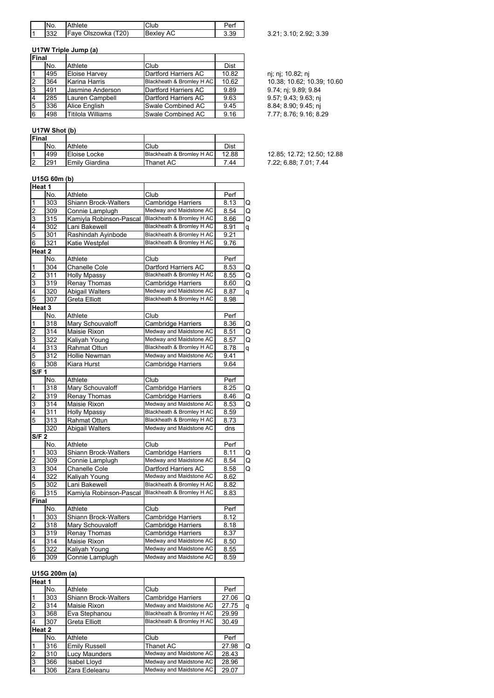|   | No. | Athlete             | Club             |  |
|---|-----|---------------------|------------------|--|
| 1 | 332 | Faye Olszowka (T20) | <b>Bexley AC</b> |  |

## **U17W Triple Jump (a)**

| <b>IFinal</b>  |     |                          |                           |       |                            |
|----------------|-----|--------------------------|---------------------------|-------|----------------------------|
|                | No. | Athlete                  | Club                      | Dist  |                            |
|                | 495 | <b>Eloise Harvey</b>     | Dartford Harriers AC      | 10.82 | nj; nj; 10.82; nj          |
| 12             | 364 | Karina Harris            | Blackheath & Bromley H AC | 10.62 | 10.38; 10.62; 10.39; 10.60 |
| IЗ             | 491 | Jasmine Anderson         | Dartford Harriers AC      | 9.89  | 9.74; nj; 9.89; 9.84       |
| $\overline{4}$ | 285 | Lauren Campbell          | Dartford Harriers AC      | 9.63  | 9.57; 9.43; 9.63; ni       |
| 5              | 336 | Alice English            | Swale Combined AC         | 9.45  | 8.84; 8.90; 9.45; ni       |
| 16             | 498 | <b>Titilola Williams</b> | Swale Combined AC         | 9.16  | 7.77; 8.76; 9.16; 8.29     |

# **U17W Shot (b)**

| <b>Final</b> |     |                |                           |       |
|--------------|-----|----------------|---------------------------|-------|
|              | No. | Athlete        | Club                      | Dist  |
|              | 499 | Eloise Locke   | Blackheath & Bromley H AC | 12.88 |
|              | 291 | Emily Giardina | Thanet AC                 | 7 44  |

#### **U15G 60m (b)**

| Heat 1                  |                  |                         |                           |      |   |
|-------------------------|------------------|-------------------------|---------------------------|------|---|
|                         | No.              | Athlete                 | Club                      | Perf |   |
| 1                       | 303              | Shiann Brock-Walters    | <b>Cambridge Harriers</b> | 8.13 | Q |
| $\overline{c}$          | 309              | Connie Lamplugh         | Medway and Maidstone AC   | 8.54 | Q |
| 3                       | 315              | Kamiyla Robinson-Pascal | Blackheath & Bromley H AC | 8.66 | Q |
| 4                       | 302              | Lani Bakewell           | Blackheath & Bromley H AC | 8.91 | q |
| 5                       | 301              | Rashindah Ayinbode      | Blackheath & Bromley H AC | 9.21 |   |
| 6                       | 321              | Katie Westpfel          | Blackheath & Bromley H AC | 9.76 |   |
|                         | Heat 2           |                         |                           |      |   |
|                         | No.              | Athlete                 | Club                      | Perf |   |
| 1                       | 304              | Chanelle Cole           | Dartford Harriers AC      | 8.53 | Q |
| $\overline{2}$          | 311              | <b>Holly Mpassy</b>     | Blackheath & Bromley H AC | 8.55 | Q |
| 3                       | 319              | Renay Thomas            | <b>Cambridge Harriers</b> | 8.60 | Q |
| 4                       | 320              | <b>Abigail Walters</b>  | Medway and Maidstone AC   | 8.87 | q |
| 5                       | 307              | Greta Elliott           | Blackheath & Bromley H AC | 8.98 |   |
|                         | Heat 3           |                         |                           |      |   |
|                         | No.              | Athlete                 | Club                      | Perf |   |
| 1                       | 318              | Mary Schouvaloff        | Cambridge Harriers        | 8.36 | Q |
| $\overline{c}$          | 314              | Maisie Rixon            | Medway and Maidstone AC   | 8.51 | Q |
| 3                       | 322              | Kaliyah Young           | Medway and Maidstone AC   | 8.57 | Q |
| 4                       | 313              | Rahmat Ottun            | Blackheath & Bromley H AC | 8.78 | q |
| 5                       | 312              | Hollie Newman           | Medway and Maidstone AC   | 9.41 |   |
| 6                       | 308              | Kiara Hurst             | <b>Cambridge Harriers</b> | 9.64 |   |
| S/F 1                   |                  |                         |                           |      |   |
|                         | No.              | Athlete                 | $\overline{\text{Cl}}$ ub | Perf |   |
| 1                       | $\overline{318}$ | Mary Schouvaloff        | <b>Cambridge Harriers</b> | 8.25 | Q |
| $\overline{c}$          | 319              | <b>Renay Thomas</b>     | <b>Cambridge Harriers</b> | 8.46 | Q |
| 3                       | 314              | Maisie Rixon            | Medway and Maidstone AC   | 8.53 | Q |
| 4                       | 311              | <b>Holly Mpassy</b>     | Blackheath & Bromley H AC | 8.59 |   |
| 5                       | 313              | Rahmat Ottun            | Blackheath & Bromley H AC | 8.73 |   |
|                         | 320              | Abigail Walters         | Medway and Maidstone AC   | dns  |   |
| S/F <sub>2</sub>        |                  |                         |                           |      |   |
|                         | No.              | Athlete                 | Club                      | Perf |   |
| 1                       | 303              | Shiann Brock-Walters    | Cambridge Harriers        | 8.11 | Q |
| $\overline{c}$          | 309              | Connie Lamplugh         | Medway and Maidstone AC   | 8.54 | Q |
| 3                       | 304              | <b>Chanelle Cole</b>    | Dartford Harriers AC      | 8.58 | Q |
| 4                       | 322              | Kaliyah Young           | Medway and Maidstone AC   | 8.62 |   |
| 5                       | 302              | Lani Bakewell           | Blackheath & Bromley H AC | 8.82 |   |
| 6                       | 315              | Kamiyla Robinson-Pascal | Blackheath & Bromley H AC | 8.83 |   |
| Final                   |                  |                         |                           |      |   |
|                         | No.              | Athlete                 | Club                      | Perf |   |
| 1                       | 303              | Shiann Brock-Walters    | Cambridge Harriers        | 8.12 |   |
| $\overline{\mathbf{c}}$ | 318              | Mary Schouvaloff        | <b>Cambridge Harriers</b> | 8.18 |   |
| 3                       | 319              | Renay Thomas            | Cambridge Harriers        | 8.37 |   |
| 4                       | 314              | Maisie Rixon            | Medway and Maidstone AC   | 8.50 |   |
| 5                       | 322              | Kaliyah Young           | Medway and Maidstone AC   | 8.55 |   |
| 6                       | 309              | Connie Lamplugh         | Medway and Maidstone AC   | 8.59 |   |

## **U15G 200m (a)**

| Heat 1         |     |                             |                           |       |    |
|----------------|-----|-----------------------------|---------------------------|-------|----|
|                | No. | Athlete                     | Club                      | Perf  |    |
|                | 303 | <b>Shiann Brock-Walters</b> | <b>Cambridge Harriers</b> | 27.06 | ΙQ |
| $\overline{2}$ | 314 | Maisie Rixon                | Medway and Maidstone AC   | 27.75 | q  |
| $\overline{3}$ | 368 | Eva Stephanou               | Blackheath & Bromley H AC | 29.99 |    |
| 4              | 307 | <b>Greta Elliott</b>        | Blackheath & Bromley H AC | 30.49 |    |
| Heat 2         |     |                             |                           |       |    |
|                | No. | Athlete                     | Club                      | Perf  |    |
|                | 316 | <b>Emily Russell</b>        | Thanet AC                 | 27.98 | Q  |
| $\overline{2}$ | 310 | Lucy Maunders               | Medway and Maidstone AC   | 28.43 |    |
| $\overline{3}$ | 366 | <b>Isabel Lloyd</b>         | Medway and Maidstone AC   | 28.96 |    |
| $\overline{4}$ | 306 | Zara Edeleanu               | Medway and Maidstone AC   | 29.07 |    |

 $\begin{array}{c} \begin{array}{c} 1 \end{array} \end{array}$  3.21; 3.10; 2.92; 3.39

12.85; 12.72; 12.50; 12.88 7.22; 6.88; 7.01; 7.44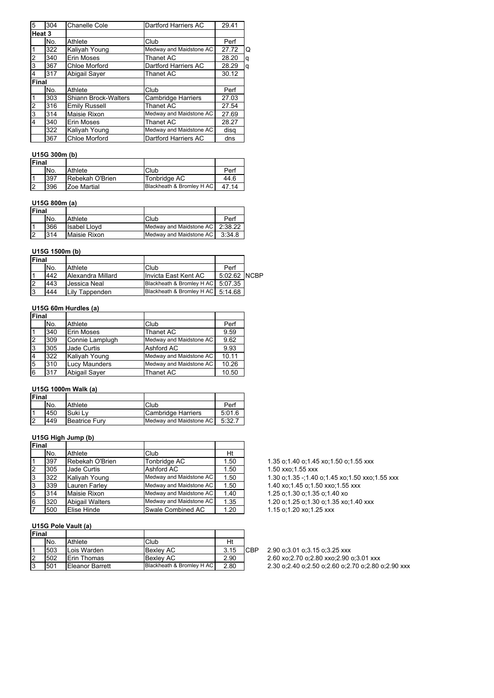| 5      | 304 | Chanelle Cole               | Dartford Harriers AC      | 29.41 |   |
|--------|-----|-----------------------------|---------------------------|-------|---|
| Heat 3 |     |                             |                           |       |   |
|        | No. | Athlete                     | Club                      | Perf  |   |
|        | 322 | Kaliyah Young               | Medway and Maidstone AC   | 27.72 | O |
| 2      | 340 | Erin Moses                  | <b>Thanet AC</b>          | 28.20 | q |
| 3      | 367 | Chloe Morford               | Dartford Harriers AC      | 28.29 | q |
| 4      | 317 | <b>Abigail Saver</b>        | Thanet AC                 | 30.12 |   |
| Final  |     |                             |                           |       |   |
|        | No. | Athlete                     | Club                      | Perf  |   |
|        | 303 | <b>Shiann Brock-Walters</b> | <b>Cambridge Harriers</b> | 27.03 |   |
| 2      | 316 | <b>Emily Russell</b>        | Thanet AC                 | 27.54 |   |
| 3      | 314 | Maisie Rixon                | Medway and Maidstone AC   | 27.69 |   |
| 4      | 340 | Erin Moses                  | Thanet AC                 | 28.27 |   |
|        | 322 | Kaliyah Young               | Medway and Maidstone AC   | disg  |   |
|        | 367 | Chloe Morford               | Dartford Harriers AC      | dns   |   |
|        |     |                             |                           |       |   |

## **U15G 300m (b)**

| <b>IFinal</b> |     |                 |                           |       |
|---------------|-----|-----------------|---------------------------|-------|
|               | No. | Athlete         | Club                      | Perf  |
|               | 397 | Rebekah O'Brien | Tonbridge AC              | 44.6  |
|               | 396 | Zoe Martial     | Blackheath & Bromley H AC | 47 14 |

## **U15G 800m (a)**

| Final          |     |                     |                                   |        |
|----------------|-----|---------------------|-----------------------------------|--------|
|                | No. | Athlete             | Club                              | Perf   |
| ا 1            | 366 | <b>Isabel Llovd</b> | Medway and Maidstone AC   2:38.22 |        |
| $\overline{2}$ | 314 | Maisie Rixon        | Medway and Maidstone AC           | 3:34.8 |

## **U15G 1500m (b)**

| Final |     |                   |                                     |              |  |
|-------|-----|-------------------|-------------------------------------|--------------|--|
|       | No. | Athlete           | Club                                | Perf         |  |
|       | 442 | Alexandra Millard | Invicta East Kent AC                | 5:02.62 NCBP |  |
|       | 443 | Jessica Neal      | Blackheath & Bromley H AC 5:07.35   |              |  |
| 13    | 444 | Lily Tappenden    | Blackheath & Bromley H AC   5:14.68 |              |  |

## **U15G 60m Hurdles (a)**

| Final          |     |                      |                         |       |
|----------------|-----|----------------------|-------------------------|-------|
|                | No. | Athlete              | Club                    | Perf  |
|                | 340 | <b>Erin Moses</b>    | Thanet AC               | 9.59  |
| 2              | 309 | Connie Lamplugh      | Medway and Maidstone AC | 9.62  |
| Iз             | 305 | Jade Curtis          | Ashford AC              | 9.93  |
| $\overline{4}$ | 322 | Kaliyah Young        | Medway and Maidstone AC | 10.11 |
| 5              | 310 | <b>Lucy Maunders</b> | Medway and Maidstone AC | 10.26 |
| 16             | 317 | <b>Abigail Saver</b> | Thanet AC               | 10.50 |

## **U15G 1000m Walk (a)**

| <b>Final</b> |     |                      |                         |        |
|--------------|-----|----------------------|-------------------------|--------|
|              | No. | Athlete              | Club                    | Perf   |
|              | 450 | Suki Lv              | Cambridge Harriers      | 5:01.6 |
| 12           | 449 | <b>Beatrice Fury</b> | Medway and Maidstone AC | 5:32.7 |

## **U15G High Jump (b)**

| lFinal         |     |                        |                         |      |
|----------------|-----|------------------------|-------------------------|------|
|                | No. | Athlete                | Club                    | Ht   |
|                | 397 | Rebekah O'Brien        | Tonbridge AC            | 1.50 |
| $\overline{2}$ | 305 | Jade Curtis            | Ashford AC              | 1.50 |
| 3              | 322 | Kaliyah Young          | Medway and Maidstone AC | 1.50 |
| 3              | 339 | <b>Lauren Farley</b>   | Medway and Maidstone AC | 1.50 |
| 5              | 314 | Maisie Rixon           | Medway and Maidstone AC | 1.40 |
| 6              | 320 | <b>Abigail Walters</b> | Medway and Maidstone AC | 1.35 |
|                | 500 | Elise Hinde            | Swale Combined AC       | 1.20 |

#### **U15G Pole Vault (a)**

| Final |     |                     |                           |      |            |
|-------|-----|---------------------|---------------------------|------|------------|
|       | No. | Athlete             | Club                      | Ht   |            |
|       | 503 | Lois Warden         | Bexlev AC                 | 3.15 | <b>CBP</b> |
|       | 502 | <b>IErin Thomas</b> | Bexlev AC                 | 2.90 |            |
| 3     | 501 | Eleanor Barrett     | Blackheath & Bromley H AC | 2.80 |            |

1.35 o;1.40 o;1.45 xo;1.50 o;1.55 xxx

1.50 xxo;1.55 xxx

1.30 o;1.35 -;1.40 o;1.45 xo;1.50 xxo;1.55 xxx

1.40 xo;1.45 o;1.50 xxo;1.55 xxx

1.25 o;1.30 o;1.35 o;1.40 xo

1.20 o;1.25 o;1.30 o;1.35 xo;1.40 xxx 1.15 o;1.20 xo;1.25 xxx

2.90 o;3.01 o;3.15 o;3.25 xxx 2.60 xo;2.70 o;2.80 xxo;2.90 o;3.01 xxx 2.30 o;2.40 o;2.50 o;2.60 o;2.70 o;2.80 o;2.90 xxx